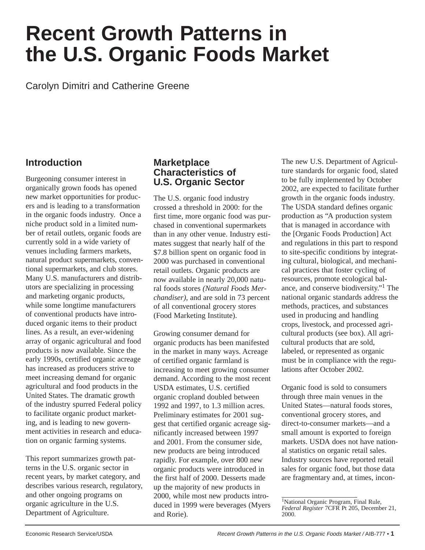# **Recent Growth Patterns in the U.S. Organic Foods Market**

Carolyn Dimitri and Catherine Greene

# **Introduction**

Burgeoning consumer interest in organically grown foods has opened new market opportunities for producers and is leading to a transformation in the organic foods industry. Once a niche product sold in a limited number of retail outlets, organic foods are currently sold in a wide variety of venues including farmers markets, natural product supermarkets, conventional supermarkets, and club stores. Many U.S. manufacturers and distributors are specializing in processing and marketing organic products, while some longtime manufacturers of conventional products have introduced organic items to their product lines. As a result, an ever-widening array of organic agricultural and food products is now available. Since the early 1990s, certified organic acreage has increased as producers strive to meet increasing demand for organic agricultural and food products in the United States. The dramatic growth of the industry spurred Federal policy to facilitate organic product marketing, and is leading to new government activities in research and education on organic farming systems.

This report summarizes growth patterns in the U.S. organic sector in recent years, by market category, and describes various research, regulatory, and other ongoing programs on organic agriculture in the U.S. Department of Agriculture.

### **Marketplace Characteristics of U.S. Organic Sector**

The U.S. organic food industry crossed a threshold in 2000: for the first time, more organic food was purchased in conventional supermarkets than in any other venue. Industry estimates suggest that nearly half of the \$7.8 billion spent on organic food in 2000 was purchased in conventional retail outlets. Organic products are now available in nearly 20,000 natural foods stores *(Natural Foods Merchandiser)*, and are sold in 73 percent of all conventional grocery stores (Food Marketing Institute).

Growing consumer demand for organic products has been manifested in the market in many ways. Acreage of certified organic farmland is increasing to meet growing consumer demand. According to the most recent USDA estimates, U.S. certified organic cropland doubled between 1992 and 1997, to 1.3 million acres. Preliminary estimates for 2001 suggest that certified organic acreage significantly increased between 1997 and 2001. From the consumer side, new products are being introduced rapidly. For example, over 800 new organic products were introduced in the first half of 2000. Desserts made up the majority of new products in 2000, while most new products introduced in 1999 were beverages (Myers and Rorie).

The new U.S. Department of Agriculture standards for organic food, slated to be fully implemented by October 2002, are expected to facilitate further growth in the organic foods industry. The USDA standard defines organic production as "A production system that is managed in accordance with the [Organic Foods Production] Act and regulations in this part to respond to site-specific conditions by integrating cultural, biological, and mechanical practices that foster cycling of resources, promote ecological balance, and conserve biodiversity."1 The national organic standards address the methods, practices, and substances used in producing and handling crops, livestock, and processed agricultural products (see box). All agricultural products that are sold, labeled, or represented as organic must be in compliance with the regulations after October 2002.

Organic food is sold to consumers through three main venues in the United States—natural foods stores, conventional grocery stores, and direct-to-consumer markets—and a small amount is exported to foreign markets. USDA does not have national statistics on organic retail sales. Industry sources have reported retail sales for organic food, but those data are fragmentary and, at times, incon-

<sup>&</sup>lt;sup>1</sup>National Organic Program, Final Rule, *Federal Register* 7CFR Pt 205, December 21, 2000.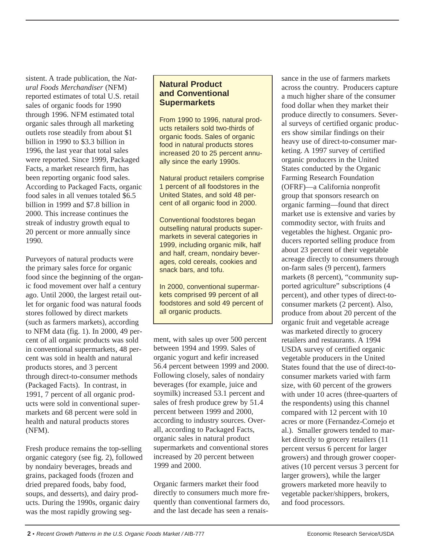sistent. A trade publication, the *Natural Foods Merchandiser* (NFM) reported estimates of total U.S. retail sales of organic foods for 1990 through 1996. NFM estimated total organic sales through all marketing outlets rose steadily from about \$1 billion in 1990 to \$3.3 billion in 1996, the last year that total sales were reported. Since 1999, Packaged Facts, a market research firm, has been reporting organic food sales. According to Packaged Facts, organic food sales in all venues totaled \$6.5 billion in 1999 and \$7.8 billion in 2000. This increase continues the streak of industry growth equal to 20 percent or more annually since 1990.

Purveyors of natural products were the primary sales force for organic food since the beginning of the organic food movement over half a century ago. Until 2000, the largest retail outlet for organic food was natural foods stores followed by direct markets (such as farmers markets), according to NFM data (fig. 1). In 2000, 49 percent of all organic products was sold in conventional supermarkets, 48 percent was sold in health and natural products stores, and 3 percent through direct-to-consumer methods (Packaged Facts). In contrast, in 1991, 7 percent of all organic products were sold in conventional supermarkets and 68 percent were sold in health and natural products stores (NFM).

Fresh produce remains the top-selling organic category (see fig. 2), followed by nondairy beverages, breads and grains, packaged foods (frozen and dried prepared foods, baby food, soups, and desserts), and dairy products. During the 1990s, organic dairy was the most rapidly growing seg-

### **Natural Product and Conventional Supermarkets**

From 1990 to 1996, natural products retailers sold two-thirds of organic foods. Sales of organic food in natural products stores increased 20 to 25 percent annually since the early 1990s.

Natural product retailers comprise 1 percent of all foodstores in the United States, and sold 48 percent of all organic food in 2000.

Conventional foodstores began outselling natural products supermarkets in several categories in 1999, including organic milk, half and half, cream, nondairy beverages, cold cereals, cookies and snack bars, and tofu.

In 2000, conventional supermarkets comprised 99 percent of all foodstores and sold 49 percent of all organic products.

ment, with sales up over 500 percent between 1994 and 1999. Sales of organic yogurt and kefir increased 56.4 percent between 1999 and 2000. Following closely, sales of nondairy beverages (for example, juice and soymilk) increased 53.1 percent and sales of fresh produce grew by 51.4 percent between 1999 and 2000, according to industry sources. Overall, according to Packaged Facts, organic sales in natural product supermarkets and conventional stores increased by 20 percent between 1999 and 2000.

Organic farmers market their food directly to consumers much more frequently than conventional farmers do, and the last decade has seen a renaissance in the use of farmers markets across the country. Producers capture a much higher share of the consumer food dollar when they market their produce directly to consumers. Several surveys of certified organic producers show similar findings on their heavy use of direct-to-consumer marketing. A 1997 survey of certified organic producers in the United States conducted by the Organic Farming Research Foundation (OFRF)—a California nonprofit group that sponsors research on organic farming—found that direct market use is extensive and varies by commodity sector, with fruits and vegetables the highest. Organic producers reported selling produce from about 23 percent of their vegetable acreage directly to consumers through on-farm sales (9 percent), farmers markets (8 percent), "community supported agriculture" subscriptions (4 percent), and other types of direct-toconsumer markets (2 percent). Also, produce from about 20 percent of the organic fruit and vegetable acreage was marketed directly to grocery retailers and restaurants. A 1994 USDA survey of certified organic vegetable producers in the United States found that the use of direct-toconsumer markets varied with farm size, with 60 percent of the growers with under 10 acres (three-quarters of the respondents) using this channel compared with 12 percent with 10 acres or more (Fernandez-Cornejo et al.). Smaller growers tended to market directly to grocery retailers (11 percent versus 6 percent for larger growers) and through grower cooperatives (10 percent versus 3 percent for larger growers), while the larger growers marketed more heavily to vegetable packer/shippers, brokers, and food processors.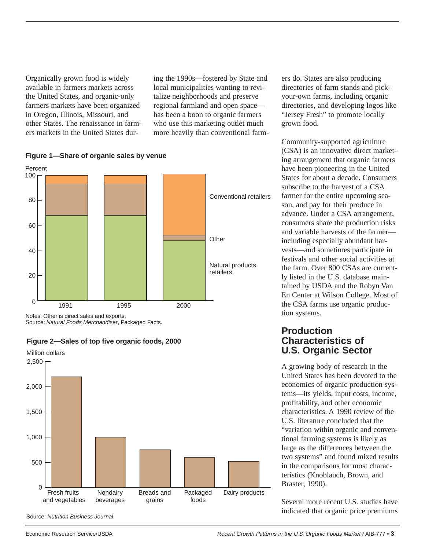Organically grown food is widely available in farmers markets across the United States, and organic-only farmers markets have been organized in Oregon, Illinois, Missouri, and other States. The renaissance in farmers markets in the United States dur-

ing the 1990s—fostered by State and local municipalities wanting to revitalize neighborhoods and preserve regional farmland and open space has been a boon to organic farmers who use this marketing outlet much more heavily than conventional farmers do. States are also producing directories of farm stands and pickyour-own farms, including organic directories, and developing logos like "Jersey Fresh" to promote locally grown food.

Community-supported agriculture (CSA) is an innovative direct marketing arrangement that organic farmers have been pioneering in the United States for about a decade. Consumers subscribe to the harvest of a CSA farmer for the entire upcoming season, and pay for their produce in advance. Under a CSA arrangement, consumers share the production risks and variable harvests of the farmer including especially abundant harvests—and sometimes participate in festivals and other social activities at the farm. Over 800 CSAs are currently listed in the U.S. database maintained by USDA and the Robyn Van En Center at Wilson College. Most of the CSA farms use organic production systems.

### **Production Characteristics of U.S. Organic Sector**

A growing body of research in the United States has been devoted to the economics of organic production systems—its yields, input costs, income, profitability, and other economic characteristics. A 1990 review of the U.S. literature concluded that the "variation within organic and conventional farming systems is likely as large as the differences between the two systems" and found mixed results in the comparisons for most characteristics (Knoblauch, Brown, and Braster, 1990).

Several more recent U.S. studies have indicated that organic price premiums





Notes: Other is direct sales and exports. Source: Natural Foods Merchandiser, Packaged Facts.



#### **Figure 2—Sales of top five organic foods, 2000**

Source: Nutrition Business Journal.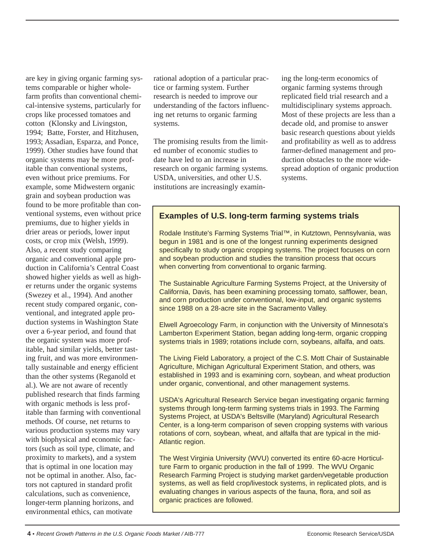are key in giving organic farming systems comparable or higher wholefarm profits than conventional chemical-intensive systems, particularly for crops like processed tomatoes and cotton (Klonsky and Livingston, 1994; Batte, Forster, and Hitzhusen, 1993; Assadian, Esparza, and Ponce, 1999). Other studies have found that organic systems may be more profitable than conventional systems, even without price premiums. For example, some Midwestern organic grain and soybean production was found to be more profitable than conventional systems, even without price premiums, due to higher yields in drier areas or periods, lower input costs, or crop mix (Welsh, 1999). Also, a recent study comparing organic and conventional apple production in California's Central Coast showed higher yields as well as higher returns under the organic systems (Swezey et al., 1994). And another recent study compared organic, conventional, and integrated apple production systems in Washington State over a 6-year period, and found that the organic system was more profitable, had similar yields, better tasting fruit, and was more environmentally sustainable and energy efficient than the other systems (Reganold et al.). We are not aware of recently published research that finds farming with organic methods is less profitable than farming with conventional methods. Of course, net returns to various production systems may vary with biophysical and economic factors (such as soil type, climate, and proximity to markets), and a system that is optimal in one location may not be optimal in another. Also, factors not captured in standard profit calculations, such as convenience, longer-term planning horizons, and environmental ethics, can motivate

rational adoption of a particular practice or farming system. Further research is needed to improve our understanding of the factors influencing net returns to organic farming systems.

The promising results from the limited number of economic studies to date have led to an increase in research on organic farming systems. USDA, universities, and other U.S. institutions are increasingly examining the long-term economics of organic farming systems through replicated field trial research and a multidisciplinary systems approach. Most of these projects are less than a decade old, and promise to answer basic research questions about yields and profitability as well as to address farmer-defined management and production obstacles to the more widespread adoption of organic production systems.

### **Examples of U.S. long-term farming systems trials**

Rodale Institute's Farming Systems Trial™, in Kutztown, Pennsylvania, was begun in 1981 and is one of the longest running experiments designed specifically to study organic cropping systems. The project focuses on corn and soybean production and studies the transition process that occurs when converting from conventional to organic farming.

The Sustainable Agriculture Farming Systems Project, at the University of California, Davis, has been examining processing tomato, safflower, bean, and corn production under conventional, low-input, and organic systems since 1988 on a 28-acre site in the Sacramento Valley.

Elwell Agroecology Farm, in conjunction with the University of Minnesota's Lamberton Experiment Station, began adding long-term, organic cropping systems trials in 1989; rotations include corn, soybeans, alfalfa, and oats.

The Living Field Laboratory, a project of the C.S. Mott Chair of Sustainable Agriculture, Michigan Agricultural Experiment Station, and others, was established in 1993 and is examining corn, soybean, and wheat production under organic, conventional, and other management systems.

USDA's Agricultural Research Service began investigating organic farming systems through long-term farming systems trials in 1993. The Farming Systems Project, at USDA's Beltsville (Maryland) Agricultural Research Center, is a long-term comparison of seven cropping systems with various rotations of corn, soybean, wheat, and alfalfa that are typical in the mid-Atlantic region.

The West Virginia University (WVU) converted its entire 60-acre Horticulture Farm to organic production in the fall of 1999. The WVU Organic Research Farming Project is studying market garden/vegetable production systems, as well as field crop/livestock systems, in replicated plots, and is evaluating changes in various aspects of the fauna, flora, and soil as organic practices are followed.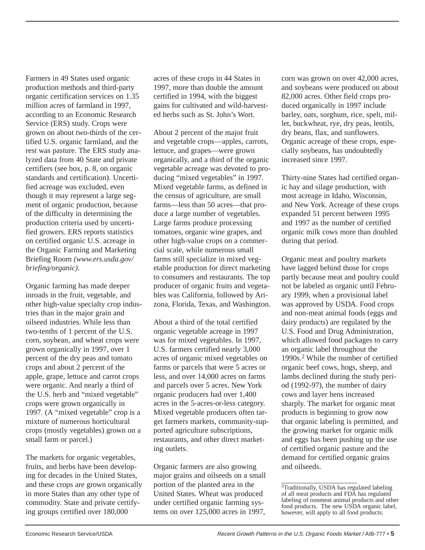Farmers in 49 States used organic production methods and third-party organic certification services on 1.35 million acres of farmland in 1997, according to an Economic Research Service (ERS) study. Crops were grown on about two-thirds of the certified U.S. organic farmland, and the rest was pasture. The ERS study analyzed data from 40 State and private certifiers (see box, p. 8, on organic standards and certification). Uncertified acreage was excluded, even though it may represent a large segment of organic production, because of the difficulty in determining the production criteria used by uncertified growers. ERS reports statistics on certified organic U.S. acreage in the Organic Farming and Marketing Briefing Room *(www.ers.usda.gov/ briefing/organic)*.

Organic farming has made deeper inroads in the fruit, vegetable, and other high-value specialty crop industries than in the major grain and oilseed industries. While less than two-tenths of 1 percent of the U.S. corn, soybean, and wheat crops were grown organically in 1997, over 1 percent of the dry peas and tomato crops and about 2 percent of the apple, grape, lettuce and carrot crops were organic. And nearly a third of the U.S. herb and "mixed vegetable" crops were grown organically in 1997. (A "mixed vegetable" crop is a mixture of numerous horticultural crops (mostly vegetables) grown on a small farm or parcel.)

The markets for organic vegetables, fruits, and herbs have been developing for decades in the United States, and these crops are grown organically in more States than any other type of commodity. State and private certifying groups certified over 180,000

acres of these crops in 44 States in 1997, more than double the amount certified in 1994, with the biggest gains for cultivated and wild-harvested herbs such as St. John's Wort.

About 2 percent of the major fruit and vegetable crops—apples, carrots, lettuce, and grapes—were grown organically, and a third of the organic vegetable acreage was devoted to producing "mixed vegetables" in 1997. Mixed vegetable farms, as defined in the census of agriculture, are small farms—less than 50 acres—that produce a large number of vegetables. Large farms produce processing tomatoes, organic wine grapes, and other high-value crops on a commercial scale, while numerous small farms still specialize in mixed vegetable production for direct marketing to consumers and restaurants. The top producer of organic fruits and vegetables was California, followed by Arizona, Florida, Texas, and Washington.

About a third of the total certified organic vegetable acreage in 1997 was for mixed vegetables. In 1997, U.S. farmers certified nearly 3,000 acres of organic mixed vegetables on farms or parcels that were 5 acres or less, and over 14,000 acres on farms and parcels over 5 acres. New York organic producers had over 1,400 acres in the 5-acres-or-less category. Mixed vegetable producers often target farmers markets, community-supported agriculture subscriptions, restaurants, and other direct marketing outlets.

Organic farmers are also growing major grains and oilseeds on a small portion of the planted area in the United States. Wheat was produced under certified organic farming systems on over 125,000 acres in 1997,

corn was grown on over 42,000 acres, and soybeans were produced on about 82,000 acres. Other field crops produced organically in 1997 include barley, oats, sorghum, rice, spelt, millet, buckwheat, rye, dry peas, lentils, dry beans, flax, and sunflowers. Organic acreage of these crops, especially soybeans, has undoubtedly increased since 1997.

Thirty-nine States had certified organic hay and silage production, with most acreage in Idaho, Wisconsin, and New York. Acreage of these crops expanded 51 percent between 1995 and 1997 as the number of certified organic milk cows more than doubled during that period.

Organic meat and poultry markets have lagged behind those for crops partly because meat and poultry could not be labeled as organic until February 1999, when a provisional label was approved by USDA. Food crops and non-meat animal foods (eggs and dairy products) are regulated by the U.S. Food and Drug Administration, which allowed food packages to carry an organic label throughout the 1990s.<sup>2</sup> While the number of certified organic beef cows, hogs, sheep, and lambs declined during the study period (1992-97), the number of dairy cows and layer hens increased sharply. The market for organic meat products is beginning to grow now that organic labeling is permitted, and the growing market for organic milk and eggs has been pushing up the use of certified organic pasture and the demand for certified organic grains and oilseeds.

<sup>&</sup>lt;sup>2</sup>Traditionally, USDA has regulated labeling of all meat products and FDA has regulated labeling of nonmeat animal products and other food products. The new USDA organic label, however, will apply to all food products.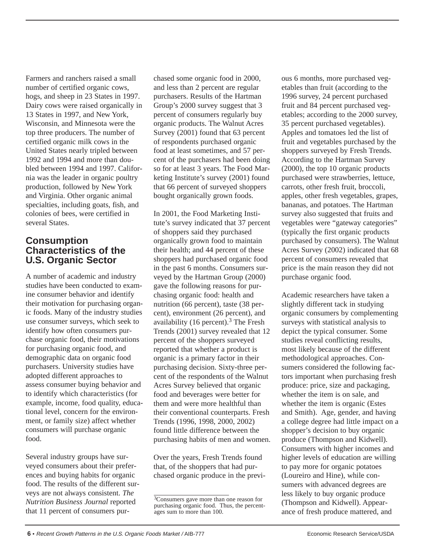Farmers and ranchers raised a small number of certified organic cows, hogs, and sheep in 23 States in 1997. Dairy cows were raised organically in 13 States in 1997, and New York, Wisconsin, and Minnesota were the top three producers. The number of certified organic milk cows in the United States nearly tripled between 1992 and 1994 and more than doubled between 1994 and 1997. California was the leader in organic poultry production, followed by New York and Virginia. Other organic animal specialties, including goats, fish, and colonies of bees, were certified in several States.

## **Consumption Characteristics of the U.S. Organic Sector**

A number of academic and industry studies have been conducted to examine consumer behavior and identify their motivation for purchasing organic foods. Many of the industry studies use consumer surveys, which seek to identify how often consumers purchase organic food, their motivations for purchasing organic food, and demographic data on organic food purchasers. University studies have adopted different approaches to assess consumer buying behavior and to identify which characteristics (for example, income, food quality, educational level, concern for the environment, or family size) affect whether consumers will purchase organic food.

Several industry groups have surveyed consumers about their preferences and buying habits for organic food. The results of the different surveys are not always consistent. *The Nutrition Business Journal* reported that 11 percent of consumers purchased some organic food in 2000, and less than 2 percent are regular purchasers. Results of the Hartman Group's 2000 survey suggest that 3 percent of consumers regularly buy organic products. The Walnut Acres Survey (2001) found that 63 percent of respondents purchased organic food at least sometimes, and 57 percent of the purchasers had been doing so for at least 3 years. The Food Marketing Institute's survey (2001) found that 66 percent of surveyed shoppers bought organically grown foods.

In 2001, the Food Marketing Institute's survey indicated that 37 percent of shoppers said they purchased organically grown food to maintain their health; and 44 percent of these shoppers had purchased organic food in the past 6 months. Consumers surveyed by the Hartman Group (2000) gave the following reasons for purchasing organic food: health and nutrition (66 percent), taste (38 percent), environment (26 percent), and availability (16 percent).<sup>3</sup> The Fresh Trends (2001) survey revealed that 12 percent of the shoppers surveyed reported that whether a product is organic is a primary factor in their purchasing decision. Sixty-three percent of the respondents of the Walnut Acres Survey believed that organic food and beverages were better for them and were more healthful than their conventional counterparts. Fresh Trends (1996, 1998, 2000, 2002) found little difference between the purchasing habits of men and women.

Over the years, Fresh Trends found that, of the shoppers that had purchased organic produce in the previous 6 months, more purchased vegetables than fruit (according to the 1996 survey, 24 percent purchased fruit and 84 percent purchased vegetables; according to the 2000 survey, 35 percent purchased vegetables). Apples and tomatoes led the list of fruit and vegetables purchased by the shoppers surveyed by Fresh Trends. According to the Hartman Survey (2000), the top 10 organic products purchased were strawberries, lettuce, carrots, other fresh fruit, broccoli, apples, other fresh vegetables, grapes, bananas, and potatoes. The Hartman survey also suggested that fruits and vegetables were "gateway categories" (typically the first organic products purchased by consumers). The Walnut Acres Survey (2002) indicated that 68 percent of consumers revealed that price is the main reason they did not purchase organic food.

Academic researchers have taken a slightly different tack in studying organic consumers by complementing surveys with statistical analysis to depict the typical consumer. Some studies reveal conflicting results, most likely because of the different methodological approaches. Consumers considered the following factors important when purchasing fresh produce: price, size and packaging, whether the item is on sale, and whether the item is organic (Estes and Smith). Age, gender, and having a college degree had little impact on a shopper's decision to buy organic produce (Thompson and Kidwell). Consumers with higher incomes and higher levels of education are willing to pay more for organic potatoes (Loureiro and Hine), while consumers with advanced degrees are less likely to buy organic produce (Thompson and Kidwell). Appearance of fresh produce mattered, and

<sup>&</sup>lt;sup>3</sup>Consumers gave more than one reason for purchasing organic food. Thus, the percentages sum to more than 100.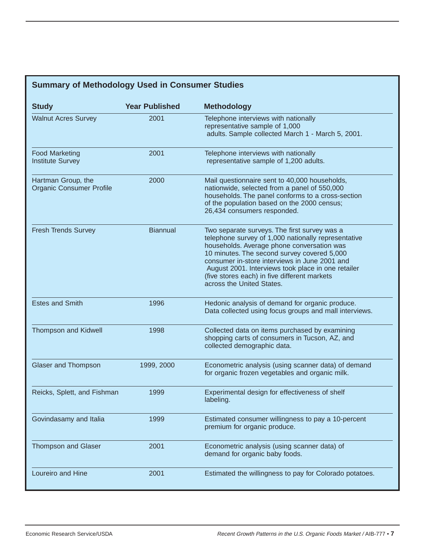# **Summary of Methodology Used in Consumer Studies**

| <b>Study</b>                                          | <b>Year Published</b> | <b>Methodology</b>                                                                                                                                                                                                                                                                                                                                                                   |
|-------------------------------------------------------|-----------------------|--------------------------------------------------------------------------------------------------------------------------------------------------------------------------------------------------------------------------------------------------------------------------------------------------------------------------------------------------------------------------------------|
| <b>Walnut Acres Survey</b>                            | 2001                  | Telephone interviews with nationally<br>representative sample of 1,000<br>adults. Sample collected March 1 - March 5, 2001.                                                                                                                                                                                                                                                          |
| <b>Food Marketing</b><br><b>Institute Survey</b>      | 2001                  | Telephone interviews with nationally<br>representative sample of 1,200 adults.                                                                                                                                                                                                                                                                                                       |
| Hartman Group, the<br><b>Organic Consumer Profile</b> | 2000                  | Mail questionnaire sent to 40,000 households,<br>nationwide, selected from a panel of 550,000<br>households. The panel conforms to a cross-section<br>of the population based on the 2000 census;<br>26,434 consumers responded.                                                                                                                                                     |
| <b>Fresh Trends Survey</b>                            | <b>Biannual</b>       | Two separate surveys. The first survey was a<br>telephone survey of 1,000 nationally representative<br>households. Average phone conversation was<br>10 minutes. The second survey covered 5,000<br>consumer in-store interviews in June 2001 and<br>August 2001. Interviews took place in one retailer<br>(five stores each) in five different markets<br>across the United States. |
| <b>Estes and Smith</b>                                | 1996                  | Hedonic analysis of demand for organic produce.<br>Data collected using focus groups and mall interviews.                                                                                                                                                                                                                                                                            |
| <b>Thompson and Kidwell</b>                           | 1998                  | Collected data on items purchased by examining<br>shopping carts of consumers in Tucson, AZ, and<br>collected demographic data.                                                                                                                                                                                                                                                      |
| Glaser and Thompson                                   | 1999, 2000            | Econometric analysis (using scanner data) of demand<br>for organic frozen vegetables and organic milk.                                                                                                                                                                                                                                                                               |
| Reicks, Splett, and Fishman                           | 1999                  | Experimental design for effectiveness of shelf<br>labeling.                                                                                                                                                                                                                                                                                                                          |
| Govindasamy and Italia                                | 1999                  | Estimated consumer willingness to pay a 10-percent<br>premium for organic produce.                                                                                                                                                                                                                                                                                                   |
| <b>Thompson and Glaser</b>                            | 2001                  | Econometric analysis (using scanner data) of<br>demand for organic baby foods.                                                                                                                                                                                                                                                                                                       |
| Loureiro and Hine                                     | 2001                  | Estimated the willingness to pay for Colorado potatoes.                                                                                                                                                                                                                                                                                                                              |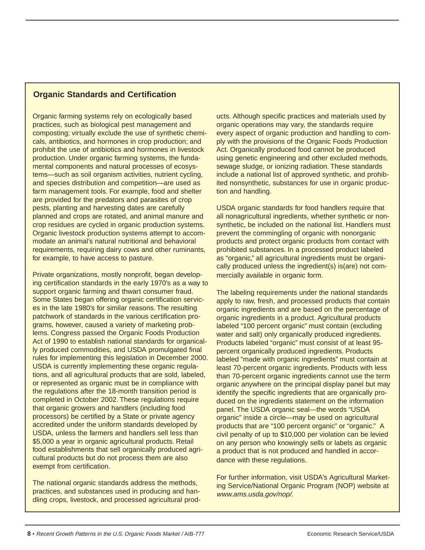### **Organic Standards and Certification**

Organic farming systems rely on ecologically based practices, such as biological pest management and composting; virtually exclude the use of synthetic chemicals, antibiotics, and hormones in crop production; and prohibit the use of antibiotics and hormones in livestock production. Under organic farming systems, the fundamental components and natural processes of ecosystems—such as soil organism activities, nutrient cycling, and species distribution and competition—are used as farm management tools. For example, food and shelter are provided for the predators and parasites of crop pests, planting and harvesting dates are carefully planned and crops are rotated, and animal manure and crop residues are cycled in organic production systems. Organic livestock production systems attempt to accommodate an animal's natural nutritional and behavioral requirements, requiring dairy cows and other ruminants, for example, to have access to pasture.

Private organizations, mostly nonprofit, began developing certification standards in the early 1970's as a way to support organic farming and thwart consumer fraud. Some States began offering organic certification services in the late 1980's for similar reasons. The resulting patchwork of standards in the various certification programs, however, caused a variety of marketing problems. Congress passed the Organic Foods Production Act of 1990 to establish national standards for organically produced commodities, and USDA promulgated final rules for implementing this legislation in December 2000. USDA is currently implementing these organic regulations, and all agricultural products that are sold, labeled, or represented as organic must be in compliance with the regulations after the 18-month transition period is completed in October 2002. These regulations require that organic growers and handlers (including food processors) be certified by a State or private agency accredited under the uniform standards developed by USDA, unless the farmers and handlers sell less than \$5,000 a year in organic agricultural products. Retail food establishments that sell organically produced agricultural products but do not process them are also exempt from certification.

The national organic standards address the methods, practices, and substances used in producing and handling crops, livestock, and processed agricultural products. Although specific practices and materials used by organic operations may vary, the standards require every aspect of organic production and handling to comply with the provisions of the Organic Foods Production Act. Organically produced food cannot be produced using genetic engineering and other excluded methods, sewage sludge, or ionizing radiation. These standards include a national list of approved synthetic, and prohibited nonsynthetic, substances for use in organic production and handling.

USDA organic standards for food handlers require that all nonagricultural ingredients, whether synthetic or nonsynthetic, be included on the national list. Handlers must prevent the commingling of organic with nonorganic products and protect organic products from contact with prohibited substances. In a processed product labeled as "organic," all agricultural ingredients must be organically produced unless the ingredient(s) is(are) not commercially available in organic form.

The labeling requirements under the national standards apply to raw, fresh, and processed products that contain organic ingredients and are based on the percentage of organic ingredients in a product. Agricultural products labeled "100 percent organic" must contain (excluding water and salt) only organically produced ingredients. Products labeled "organic" must consist of at least 95 percent organically produced ingredients. Products labeled "made with organic ingredients" must contain at least 70-percent organic ingredients. Products with less than 70-percent organic ingredients cannot use the term organic anywhere on the principal display panel but may identify the specific ingredients that are organically produced on the ingredients statement on the information panel. The USDA organic seal—the words "USDA organic" inside a circle—may be used on agricultural products that are "100 percent organic" or "organic." A civil penalty of up to \$10,000 per violation can be levied on any person who knowingly sells or labels as organic a product that is not produced and handled in accordance with these regulations.

For further information, visit USDA's Agricultural Marketing Service/National Organic Program (NOP) website at www.ams.usda.gov/nop/.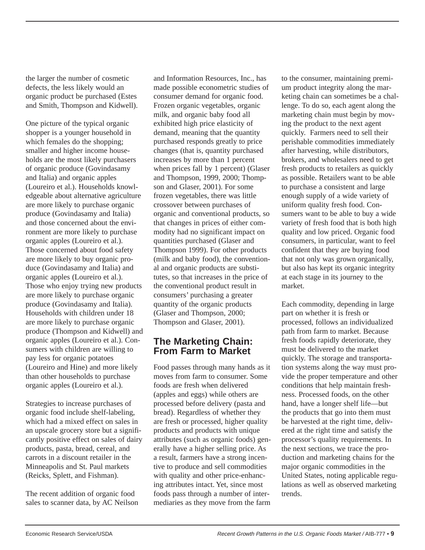the larger the number of cosmetic defects, the less likely would an organic product be purchased (Estes and Smith, Thompson and Kidwell).

One picture of the typical organic shopper is a younger household in which females do the shopping; smaller and higher income households are the most likely purchasers of organic produce (Govindasamy and Italia) and organic apples (Loureiro et al.). Households knowledgeable about alternative agriculture are more likely to purchase organic produce (Govindasamy and Italia) and those concerned about the environment are more likely to purchase organic apples (Loureiro et al.). Those concerned about food safety are more likely to buy organic produce (Govindasamy and Italia) and organic apples (Loureiro et al.). Those who enjoy trying new products are more likely to purchase organic produce (Govindasamy and Italia). Households with children under 18 are more likely to purchase organic produce (Thompson and Kidwell) and organic apples (Loureiro et al.). Consumers with children are willing to pay less for organic potatoes (Loureiro and Hine) and more likely than other households to purchase organic apples (Loureiro et al.).

Strategies to increase purchases of organic food include shelf-labeling, which had a mixed effect on sales in an upscale grocery store but a significantly positive effect on sales of dairy products, pasta, bread, cereal, and carrots in a discount retailer in the Minneapolis and St. Paul markets (Reicks, Splett, and Fishman).

The recent addition of organic food sales to scanner data, by AC Neilson and Information Resources, Inc., has made possible econometric studies of consumer demand for organic food. Frozen organic vegetables, organic milk, and organic baby food all exhibited high price elasticity of demand, meaning that the quantity purchased responds greatly to price changes (that is, quantity purchased increases by more than 1 percent when prices fall by 1 percent) (Glaser and Thompson, 1999, 2000; Thompson and Glaser, 2001). For some frozen vegetables, there was little crossover between purchases of organic and conventional products, so that changes in prices of either commodity had no significant impact on quantities purchased (Glaser and Thompson 1999). For other products (milk and baby food), the conventional and organic products are substitutes, so that increases in the price of the conventional product result in consumers' purchasing a greater quantity of the organic products (Glaser and Thompson, 2000; Thompson and Glaser, 2001).

## **The Marketing Chain: From Farm to Market**

Food passes through many hands as it moves from farm to consumer. Some foods are fresh when delivered (apples and eggs) while others are processed before delivery (pasta and bread). Regardless of whether they are fresh or processed, higher quality products and products with unique attributes (such as organic foods) generally have a higher selling price. As a result, farmers have a strong incentive to produce and sell commodities with quality and other price-enhancing attributes intact. Yet, since most foods pass through a number of intermediaries as they move from the farm to the consumer, maintaining premium product integrity along the marketing chain can sometimes be a challenge. To do so, each agent along the marketing chain must begin by moving the product to the next agent quickly. Farmers need to sell their perishable commodities immediately after harvesting, while distributors, brokers, and wholesalers need to get fresh products to retailers as quickly as possible. Retailers want to be able to purchase a consistent and large enough supply of a wide variety of uniform quality fresh food. Consumers want to be able to buy a wide variety of fresh food that is both high quality and low priced. Organic food consumers, in particular, want to feel confident that they are buying food that not only was grown organically, but also has kept its organic integrity at each stage in its journey to the market.

Each commodity, depending in large part on whether it is fresh or processed, follows an individualized path from farm to market. Because fresh foods rapidly deteriorate, they must be delivered to the market quickly. The storage and transportation systems along the way must provide the proper temperature and other conditions that help maintain freshness. Processed foods, on the other hand, have a longer shelf life—but the products that go into them must be harvested at the right time, delivered at the right time and satisfy the processor's quality requirements. In the next sections, we trace the production and marketing chains for the major organic commodities in the United States, noting applicable regulations as well as observed marketing trends.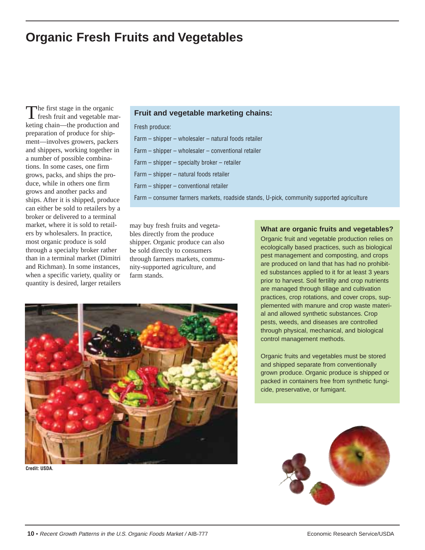# **Organic Fresh Fruits and Vegetables**

The first stage in the organic fresh fruit and vegetable marketing chain—the production and preparation of produce for shipment—involves growers, packers and shippers, working together in a number of possible combinations. In some cases, one firm grows, packs, and ships the produce, while in others one firm grows and another packs and ships. After it is shipped, produce can either be sold to retailers by a broker or delivered to a terminal market, where it is sold to retailers by wholesalers. In practice, most organic produce is sold through a specialty broker rather than in a terminal market (Dimitri and Richman). In some instances, when a specific variety, quality or quantity is desired, larger retailers

#### **Fruit and vegetable marketing chains:**

Fresh produce:

- Farm shipper wholesaler natural foods retailer
- Farm shipper wholesaler conventional retailer
- Farm shipper specialty broker retailer
- Farm shipper natural foods retailer
- Farm shipper conventional retailer
- Farm consumer farmers markets, roadside stands, U-pick, community supported agriculture

may buy fresh fruits and vegetables directly from the produce shipper. Organic produce can also be sold directly to consumers through farmers markets, community-supported agriculture, and farm stands.



**Credit: USDA.**

#### **What are organic fruits and vegetables?**

Organic fruit and vegetable production relies on ecologically based practices, such as biological pest management and composting, and crops are produced on land that has had no prohibited substances applied to it for at least 3 years prior to harvest. Soil fertility and crop nutrients are managed through tillage and cultivation practices, crop rotations, and cover crops, supplemented with manure and crop waste material and allowed synthetic substances. Crop pests, weeds, and diseases are controlled through physical, mechanical, and biological control management methods.

Organic fruits and vegetables must be stored and shipped separate from conventionally grown produce. Organic produce is shipped or packed in containers free from synthetic fungicide, preservative, or fumigant.

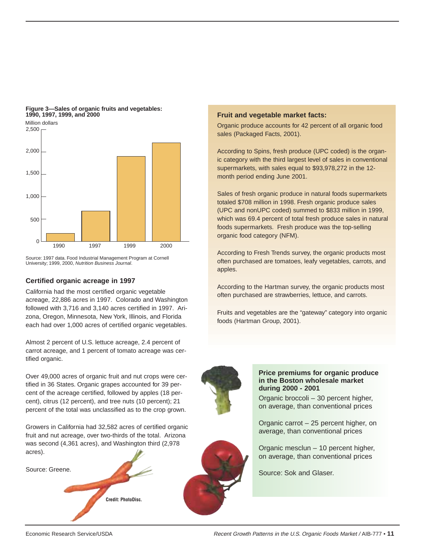

#### **Figure 3—Sales of organic fruits and vegetables: 1990, 1997, 1999, and 2000**

Source: 1997 data. Food Industrial Management Program at Cornell University; 1999, 2000, Nutrition Business Journal.

#### **Certified organic acreage in 1997**

California had the most certified organic vegetable acreage, 22,886 acres in 1997. Colorado and Washington followed with 3,716 and 3,140 acres certified in 1997. Arizona, Oregon, Minnesota, New York, Illinois, and Florida each had over 1,000 acres of certified organic vegetables.

Almost 2 percent of U.S. lettuce acreage, 2.4 percent of carrot acreage, and 1 percent of tomato acreage was certified organic.

Over 49,000 acres of organic fruit and nut crops were certified in 36 States. Organic grapes accounted for 39 percent of the acreage certified, followed by apples (18 percent), citrus (12 percent), and tree nuts (10 percent); 21 percent of the total was unclassified as to the crop grown.

Growers in California had 32,582 acres of certified organic fruit and nut acreage, over two-thirds of the total. Arizona was second (4,361 acres), and Washington third (2,978 acres).

**Credit: PhotoDisc.**

Source: Greene.

### **Fruit and vegetable market facts:**

Organic produce accounts for 42 percent of all organic food sales (Packaged Facts, 2001).

According to Spins, fresh produce (UPC coded) is the organic category with the third largest level of sales in conventional supermarkets, with sales equal to \$93,978,272 in the 12 month period ending June 2001.

Sales of fresh organic produce in natural foods supermarkets totaled \$708 million in 1998. Fresh organic produce sales (UPC and nonUPC coded) summed to \$833 million in 1999, which was 69.4 percent of total fresh produce sales in natural foods supermarkets. Fresh produce was the top-selling organic food category (NFM).

According to Fresh Trends survey, the organic products most often purchased are tomatoes, leafy vegetables, carrots, and apples.

According to the Hartman survey, the organic products most often purchased are strawberries, lettuce, and carrots.

Fruits and vegetables are the "gateway" category into organic foods (Hartman Group, 2001).



#### **Price premiums for organic produce in the Boston wholesale market during 2000 - 2001**

Organic broccoli – 30 percent higher, on average, than conventional prices

Organic carrot – 25 percent higher, on average, than conventional prices

Organic mesclun – 10 percent higher, on average, than conventional prices

Source: Sok and Glaser.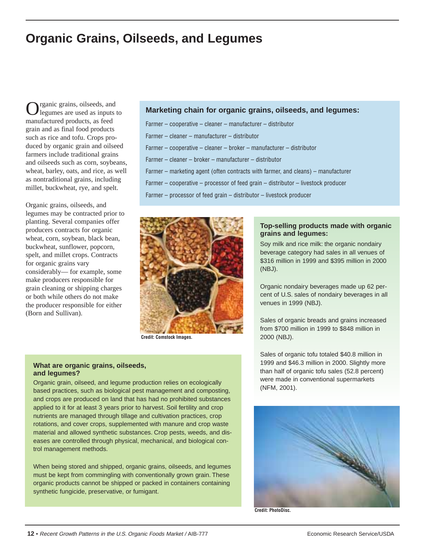# **Organic Grains, Oilseeds, and Legumes**

rganic grains, oilseeds, and legumes are used as inputs to manufactured products, as feed grain and as final food products such as rice and tofu. Crops produced by organic grain and oilseed farmers include traditional grains and oilseeds such as corn, soybeans, wheat, barley, oats, and rice, as well as nontraditional grains, including millet, buckwheat, rye, and spelt.

Organic grains, oilseeds, and legumes may be contracted prior to planting. Several companies offer producers contracts for organic wheat, corn, soybean, black bean, buckwheat, sunflower, popcorn, spelt, and millet crops. Contracts for organic grains vary considerably— for example, some make producers responsible for grain cleaning or shipping charges or both while others do not make the producer responsible for either (Born and Sullivan).

#### **Marketing chain for organic grains, oilseeds, and legumes:**

Farmer – cooperative – cleaner – manufacturer – distributor Farmer – cleaner – manufacturer – distributor Farmer – cooperative – cleaner – broker – manufacturer – distributor Farmer – cleaner – broker – manufacturer – distributor Farmer – marketing agent (often contracts with farmer, and cleans) – manufacturer

Farmer – cooperative – processor of feed grain – distributor – livestock producer

Farmer – processor of feed grain – distributor – livestock producer



**Credit: Comstock Images.**

#### **What are organic grains, oilseeds, and legumes?**

Organic grain, oilseed, and legume production relies on ecologically based practices, such as biological pest management and composting, and crops are produced on land that has had no prohibited substances applied to it for at least 3 years prior to harvest. Soil fertility and crop nutrients are managed through tillage and cultivation practices, crop rotations, and cover crops, supplemented with manure and crop waste material and allowed synthetic substances. Crop pests, weeds, and diseases are controlled through physical, mechanical, and biological control management methods.

When being stored and shipped, organic grains, oilseeds, and legumes must be kept from commingling with conventionally grown grain. These organic products cannot be shipped or packed in containers containing synthetic fungicide, preservative, or fumigant.

#### **Top-selling products made with organic grains and legumes:**

Soy milk and rice milk: the organic nondairy beverage category had sales in all venues of \$316 million in 1999 and \$395 million in 2000 (NBJ).

Organic nondairy beverages made up 62 percent of U.S. sales of nondairy beverages in all venues in 1999 (NBJ).

Sales of organic breads and grains increased from \$700 million in 1999 to \$848 million in 2000 (NBJ).

Sales of organic tofu totaled \$40.8 million in 1999 and \$46.3 million in 2000. Slightly more than half of organic tofu sales (52.8 percent) were made in conventional supermarkets (NFM, 2001).



**Credit: PhotoDisc.**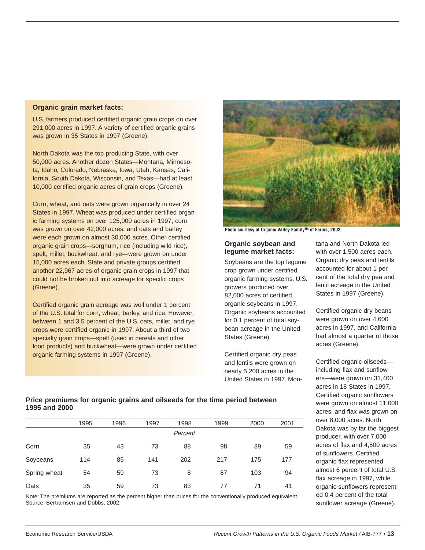#### **Organic grain market facts:**

U.S. farmers produced certified organic grain crops on over 291,000 acres in 1997. A variety of certified organic grains was grown in 35 States in 1997 (Greene).

North Dakota was the top producing State, with over 50,000 acres. Another dozen States—Montana, Minnesota, Idaho, Colorado, Nebraska, Iowa, Utah, Kansas, California, South Dakota, Wisconsin, and Texas—had at least 10,000 certified organic acres of grain crops (Greene).

Corn, wheat, and oats were grown organically in over 24 States in 1997. Wheat was produced under certified organic farming systems on over 125,000 acres in 1997, corn was grown on over 42,000 acres, and oats and barley were each grown on almost 30,000 acres. Other certified organic grain crops—sorghum, rice (including wild rice), spelt, millet, buckwheat, and rye—were grown on under 15,000 acres each. State and private groups certified another 22,967 acres of organic grain crops in 1997 that could not be broken out into acreage for specific crops (Greene).

Certified organic grain acreage was well under 1 percent of the U.S. total for corn, wheat, barley, and rice. However, between 1 and 3.5 percent of the U.S. oats, millet, and rye crops were certified organic in 1997. About a third of two specialty grain crops—spelt (used in cereals and other food products) and buckwheat—were grown under certified organic farming systems in 1997 (Greene).



Photo courtesy of Organic Valley Family™ of Farms, 2002.

#### **Organic soybean and legume market facts:**

Soybeans are the top legume crop grown under certified organic farming systems. U.S. growers produced over 82,000 acres of certified organic soybeans in 1997. Organic soybeans accounted for 0.1 percent of total soybean acreage in the United States (Greene).

Certified organic dry peas and lentils were grown on nearly 5,200 acres in the United States in 1997. Montana and North Dakota led with over 1,500 acres each. Organic dry peas and lentils accounted for about 1 percent of the total dry pea and lentil acreage in the United States in 1997 (Greene).

Certified organic dry beans were grown on over 4,600 acres in 1997, and California had almost a quarter of those acres (Greene).

Certified organic oilseeds including flax and sunflowers—were grown on 31,400 acres in 18 States in 1997. Certified organic sunflowers were grown on almost 11,000 acres, and flax was grown on over 8,000 acres. North Dakota was by far the biggest producer, with over 7,000 acres of flax and 4,500 acres of sunflowers. Certified organic flax represented almost 6 percent of total U.S. flax acreage in 1997, while organic sunflowers represented 0.4 percent of the total sunflower acreage (Greene).

#### **Price premiums for organic grains and oilseeds for the time period between 1995 and 2000**

|              | 1995 | 1996 | 1997 | 1998    | 1999 | 2000 | 2001 |
|--------------|------|------|------|---------|------|------|------|
|              |      |      |      | Percent |      |      |      |
| Corn         | 35   | 43   | 73   | 88      | 98   | 89   | 59   |
| Soybeans     | 114  | 85   | 141  | 202     | 217  | 175  | 177  |
| Spring wheat | 54   | 59   | 73   | 8       | 87   | 103  | 94   |
| Oats         | 35   | 59   | 73   | 83      | 77   | 71   | 41   |

Note: The premiums are reported as the percent higher than prices for the conventionally produced equivalent. Source: Bertramsen and Dobbs, 2002.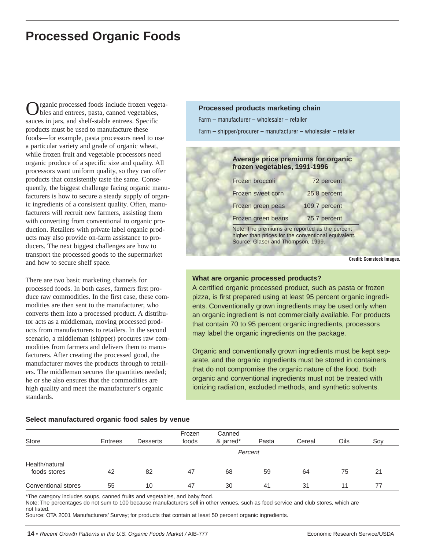# **Processed Organic Foods**

rganic processed foods include frozen vegetables and entrees, pasta, canned vegetables, sauces in jars, and shelf-stable entrees. Specific products must be used to manufacture these foods—for example, pasta processors need to use a particular variety and grade of organic wheat, while frozen fruit and vegetable processors need organic produce of a specific size and quality. All processors want uniform quality, so they can offer products that consistently taste the same. Consequently, the biggest challenge facing organic manufacturers is how to secure a steady supply of organic ingredients of a consistent quality. Often, manufacturers will recruit new farmers, assisting them with converting from conventional to organic production. Retailers with private label organic products may also provide on-farm assistance to producers. The next biggest challenges are how to transport the processed goods to the supermarket and how to secure shelf space.

There are two basic marketing channels for processed foods. In both cases, farmers first produce raw commodities. In the first case, these commodities are then sent to the manufacturer, who converts them into a processed product. A distributor acts as a middleman, moving processed products from manufacturers to retailers. In the second scenario, a middleman (shipper) procures raw commodities from farmers and delivers them to manufacturers. After creating the processed good, the manufacturer moves the products through to retailers. The middleman secures the quantities needed; he or she also ensures that the commodities are high quality and meet the manufacturer's organic standards.

### Farm – manufacturer – wholesaler – retailer Farm – shipper/procurer – manufacturer – wholesaler – retailer

**Processed products marketing chain**

| Frozen broccoli    | 72 percent    |
|--------------------|---------------|
| Frozen sweet corn  | 25.8 percent  |
| Frozen green peas  | 109.7 percent |
| Frozen green beans | 75.7 percent  |

**Credit: Comstock Images.**

#### **What are organic processed products?**

A certified organic processed product, such as pasta or frozen pizza, is first prepared using at least 95 percent organic ingredients. Conventionally grown ingredients may be used only when an organic ingredient is not commercially available. For products that contain 70 to 95 percent organic ingredients, processors may label the organic ingredients on the package.

Organic and conventionally grown ingredients must be kept separate, and the organic ingredients must be stored in containers that do not compromise the organic nature of the food. Both organic and conventional ingredients must not be treated with ionizing radiation, excluded methods, and synthetic solvents.

#### **Select manufactured organic food sales by venue**

|                     |         |                 | Frozen | Canned    |       |        |      |     |
|---------------------|---------|-----------------|--------|-----------|-------|--------|------|-----|
| Store               | Entrees | <b>Desserts</b> | foods  | & jarred* | Pasta | Cereal | Oils | Soy |
|                     |         |                 |        | Percent   |       |        |      |     |
| Health/natural      |         |                 |        |           |       |        |      |     |
| foods stores        | 42      | 82              | 47     | 68        | 59    | 64     | 75   | 21  |
| Conventional stores | 55      | 10              | 47     | 30        | 41    | 31     | 11   | 77  |

\*The category includes soups, canned fruits and vegetables, and baby food.

Note: The percentages do not sum to 100 because manufacturers sell in other venues, such as food service and club stores, which are not listed.

Source: OTA 2001 Manufacturers' Survey; for products that contain at least 50 percent organic ingredients.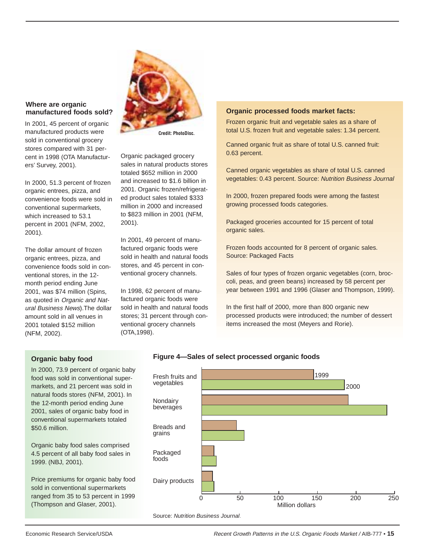#### **Where are organic manufactured foods sold?**

In 2001, 45 percent of organic manufactured products were sold in conventional grocery stores compared with 31 percent in 1998 (OTA Manufacturers' Survey, 2001).

In 2000, 51.3 percent of frozen organic entrees, pizza, and convenience foods were sold in conventional supermarkets, which increased to 53.1 percent in 2001 (NFM, 2002, 2001).

The dollar amount of frozen organic entrees, pizza, and convenience foods sold in conventional stores, in the 12 month period ending June 2001, was \$74 million (Spins, as quoted in Organic and Natural Business News).The dollar amount sold in all venues in 2001 totaled \$152 million (NFM, 2002).



**Credit: PhotoDisc.**

Organic packaged grocery sales in natural products stores totaled \$652 million in 2000 and increased to \$1.6 billion in 2001. Organic frozen/refrigerated product sales totaled \$333 million in 2000 and increased to \$823 million in 2001 (NFM, 2001).

In 2001, 49 percent of manufactured organic foods were sold in health and natural foods stores, and 45 percent in conventional grocery channels.

In 1998, 62 percent of manufactured organic foods were sold in health and natural foods stores; 31 percent through conventional grocery channels (OTA,1998).

#### **Organic processed foods market facts:**

Frozen organic fruit and vegetable sales as a share of total U.S. frozen fruit and vegetable sales: 1.34 percent.

Canned organic fruit as share of total U.S. canned fruit: 0.63 percent.

Canned organic vegetables as share of total U.S. canned vegetables: 0.43 percent. Source: Nutrition Business Journal

In 2000, frozen prepared foods were among the fastest growing processed foods categories.

Packaged groceries accounted for 15 percent of total organic sales.

Frozen foods accounted for 8 percent of organic sales. Source: Packaged Facts

Sales of four types of frozen organic vegetables (corn, broccoli, peas, and green beans) increased by 58 percent per year between 1991 and 1996 (Glaser and Thompson, 1999).

In the first half of 2000, more than 800 organic new processed products were introduced; the number of dessert items increased the most (Meyers and Rorie).

#### **Organic baby food**

In 2000, 73.9 percent of organic baby food was sold in conventional supermarkets, and 21 percent was sold in natural foods stores (NFM, 2001). In the 12-month period ending June 2001, sales of organic baby food in conventional supermarkets totaled \$50.6 million.

Organic baby food sales comprised 4.5 percent of all baby food sales in 1999. (NBJ, 2001).

Price premiums for organic baby food sold in conventional supermarkets ranged from 35 to 53 percent in 1999 (Thompson and Glaser, 2001).



#### Source: Nutrition Business Journal.

Economic Research Service/USDA Recent Growth Patterns in the U.S. Organic Foods Market / AIB-777 • **15**

#### **Figure 4—Sales of select processed organic foods**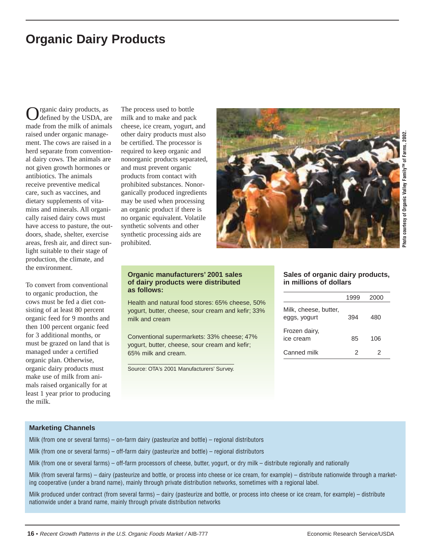# **Organic Dairy Products**

Organic dairy products, as defined by the USDA, are made from the milk of animals raised under organic management. The cows are raised in a herd separate from conventional dairy cows. The animals are not given growth hormones or antibiotics. The animals receive preventive medical care, such as vaccines, and dietary supplements of vitamins and minerals. All organically raised dairy cows must have access to pasture, the outdoors, shade, shelter, exercise areas, fresh air, and direct sunlight suitable to their stage of production, the climate, and the environment.

To convert from conventional to organic production, the cows must be fed a diet consisting of at least 80 percent organic feed for 9 months and then 100 percent organic feed for 3 additional months, or must be grazed on land that is managed under a certified organic plan. Otherwise, organic dairy products must make use of milk from animals raised organically for at least 1 year prior to producing the milk.

The process used to bottle milk and to make and pack cheese, ice cream, yogurt, and other dairy products must also be certified. The processor is required to keep organic and nonorganic products separated, and must prevent organic products from contact with prohibited substances. Nonorganically produced ingredients may be used when processing an organic product if there is no organic equivalent. Volatile synthetic solvents and other synthetic processing aids are prohibited.



#### **Organic manufacturers' 2001 sales of dairy products were distributed as follows:**

Health and natural food stores: 65% cheese, 50% yogurt, butter, cheese, sour cream and kefir; 33% milk and cream

Conventional supermarkets: 33% cheese; 47% yogurt, butter, cheese, sour cream and kefir; 65% milk and cream.

Source: OTA's 2001 Manufacturers' Survey.

#### **Sales of organic dairy products, in millions of dollars**

|                                       | 1999 | 2000 |  |
|---------------------------------------|------|------|--|
| Milk, cheese, butter,<br>eggs, yogurt | 394  | 480  |  |
| Frozen dairy,<br>ice cream            | 85   | 106  |  |
| Canned milk                           | 2    | 2    |  |

#### **Marketing Channels**

Milk (from one or several farms) – on-farm dairy (pasteurize and bottle) – regional distributors

Milk (from one or several farms) – off-farm dairy (pasteurize and bottle) – regional distributors

Milk (from one or several farms) – off-farm processors of cheese, butter, yogurt, or dry milk – distribute regionally and nationally

Milk (from several farms) – dairy (pasteurize and bottle, or process into cheese or ice cream, for example) – distribute nationwide through a marketing cooperative (under a brand name), mainly through private distribution networks, sometimes with a regional label.

Milk produced under contract (from several farms) – dairy (pasteurize and bottle, or process into cheese or ice cream, for example) – distribute nationwide under a brand name, mainly through private distribution networks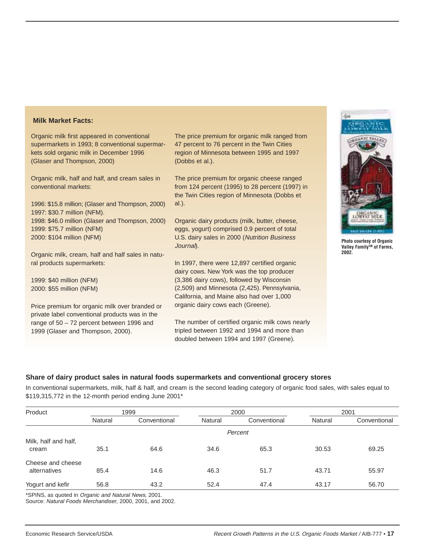#### **Milk Market Facts:**

Organic milk first appeared in conventional supermarkets in 1993; 8 conventional supermarkets sold organic milk in December 1996 (Glaser and Thompson, 2000)

Organic milk, half and half, and cream sales in conventional markets:

1996: \$15.8 million; (Glaser and Thompson, 2000) 1997: \$30.7 million (NFM). 1998: \$46.0 million (Glaser and Thompson, 2000) 1999: \$75.7 million (NFM) 2000: \$104 million (NFM)

Organic milk, cream, half and half sales in natural products supermarkets:

1999: \$40 million (NFM) 2000: \$55 million (NFM)

Price premium for organic milk over branded or private label conventional products was in the range of 50 – 72 percent between 1996 and 1999 (Glaser and Thompson, 2000).

The price premium for organic milk ranged from 47 percent to 76 percent in the Twin Cities region of Minnesota between 1995 and 1997 (Dobbs et al.).

The price premium for organic cheese ranged from 124 percent (1995) to 28 percent (1997) in the Twin Cities region of Minnesota (Dobbs et al.).

Organic dairy products (milk, butter, cheese, eggs, yogurt) comprised 0.9 percent of total U.S. dairy sales in 2000 (Nutrition Business Journal).

In 1997, there were 12,897 certified organic dairy cows. New York was the top producer (3,386 dairy cows), followed by Wisconsin (2,509) and Minnesota (2,425). Pennsylvania, California, and Maine also had over 1,000 organic dairy cows each (Greene).

The number of certified organic milk cows nearly tripled between 1992 and 1994 and more than doubled between 1994 and 1997 (Greene).



**Photo courtesy of Organic Valley FamilyTM of Farms, 2002.**

#### **Share of dairy product sales in natural foods supermarkets and conventional grocery stores**

In conventional supermarkets, milk, half & half, and cream is the second leading category of organic food sales, with sales equal to \$119,315,772 in the 12-month period ending June 2001\*

| Product              | 1999    |              |         | 2000         | 2001    |              |
|----------------------|---------|--------------|---------|--------------|---------|--------------|
|                      | Natural | Conventional | Natural | Conventional | Natural | Conventional |
|                      |         |              |         | Percent      |         |              |
| Milk, half and half, |         |              |         |              |         |              |
| cream                | 35.1    | 64.6         | 34.6    | 65.3         | 30.53   | 69.25        |
| Cheese and cheese    |         |              |         |              |         |              |
| alternatives         | 85.4    | 14.6         | 46.3    | 51.7         | 43.71   | 55.97        |
| Yogurt and kefir     | 56.8    | 43.2         | 52.4    | 47.4         | 43.17   | 56.70        |

\*SPINS, as quoted in Organic and Natural News, 2001.

Source: Natural Foods Merchandiser, 2000, 2001, and 2002.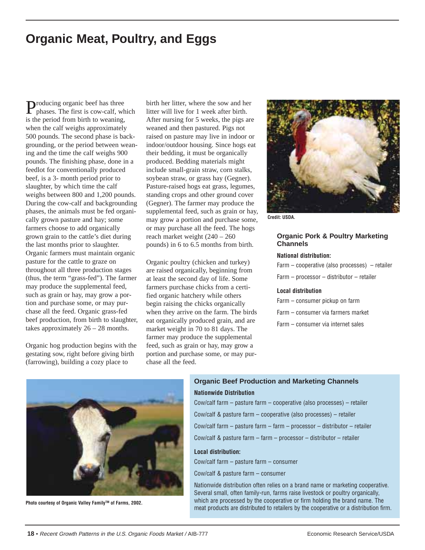# **Organic Meat, Poultry, and Eggs**

Producing organic beef has three phases. The first is cow-calf, which is the period from birth to weaning, when the calf weighs approximately 500 pounds. The second phase is backgrounding, or the period between weaning and the time the calf weighs 900 pounds. The finishing phase, done in a feedlot for conventionally produced beef, is a 3- month period prior to slaughter, by which time the calf weighs between 800 and 1,200 pounds. During the cow-calf and backgrounding phases, the animals must be fed organically grown pasture and hay; some farmers choose to add organically grown grain to the cattle's diet during the last months prior to slaughter. Organic farmers must maintain organic pasture for the cattle to graze on throughout all three production stages (thus, the term "grass-fed"). The farmer may produce the supplemental feed, such as grain or hay, may grow a portion and purchase some, or may purchase all the feed. Organic grass-fed beef production, from birth to slaughter, takes approximately  $26 - 28$  months.

Organic hog production begins with the gestating sow, right before giving birth (farrowing), building a cozy place to

birth her litter, where the sow and her litter will live for 1 week after birth. After nursing for 5 weeks, the pigs are weaned and then pastured. Pigs not raised on pasture may live in indoor or indoor/outdoor housing. Since hogs eat their bedding, it must be organically produced. Bedding materials might include small-grain straw, corn stalks, soybean straw, or grass hay (Gegner). Pasture-raised hogs eat grass, legumes, standing crops and other ground cover (Gegner). The farmer may produce the supplemental feed, such as grain or hay, may grow a portion and purchase some, or may purchase all the feed. The hogs reach market weight (240 – 260 pounds) in 6 to 6.5 months from birth.

Organic poultry (chicken and turkey) are raised organically, beginning from at least the second day of life. Some farmers purchase chicks from a certified organic hatchery while others begin raising the chicks organically when they arrive on the farm. The birds eat organically produced grain, and are market weight in 70 to 81 days. The farmer may produce the supplemental feed, such as grain or hay, may grow a portion and purchase some, or may purchase all the feed.



**Credit: USDA.**

#### **Organic Pork & Poultry Marketing Channels**

#### **National distribution:**

Farm – cooperative (also processes) – retailer Farm – processor – distributor – retailer

#### **Local distribution**

| Farm – consumer pickup on farm     |
|------------------------------------|
| Farm – consumer via farmers market |
| Farm – consumer via internet sales |



**Photo courtesy of Organic Valley Family™ of Farms, 2002.** 

# **Organic Beef Production and Marketing Channels**

### **Nationwide Distribution**

Cow/calf farm – pasture farm – cooperative (also processes) – retailer Cow/calf & pasture farm – cooperative (also processes) – retailer Cow/calf farm – pasture farm – farm – processor – distributor – retailer Cow/calf & pasture farm – farm – processor – distributor – retailer

#### **Local distribution:**

Cow/calf farm – pasture farm – consumer

Cow/calf & pasture farm – consumer

Nationwide distribution often relies on a brand name or marketing cooperative. Several small, often family-run, farms raise livestock or poultry organically, which are processed by the cooperative or firm holding the brand name. The meat products are distributed to retailers by the cooperative or a distribution firm.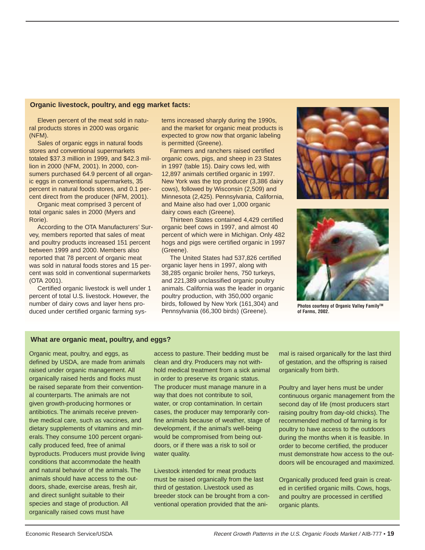#### **Organic livestock, poultry, and egg market facts:**

Eleven percent of the meat sold in natural products stores in 2000 was organic (NFM).

Sales of organic eggs in natural foods stores and conventional supermarkets totaled \$37.3 million in 1999, and \$42.3 million in 2000 (NFM, 2001). In 2000, consumers purchased 64.9 percent of all organic eggs in conventional supermarkets, 35 percent in natural foods stores, and 0.1 percent direct from the producer (NFM, 2001).

Organic meat comprised 3 percent of total organic sales in 2000 (Myers and Rorie).

According to the OTA Manufacturers' Survey, members reported that sales of meat and poultry products increased 151 percent between 1999 and 2000. Members also reported that 78 percent of organic meat was sold in natural foods stores and 15 percent was sold in conventional supermarkets (OTA 2001).

Certified organic livestock is well under 1 percent of total U.S. livestock. However, the number of dairy cows and layer hens produced under certified organic farming systems increased sharply during the 1990s, and the market for organic meat products is expected to grow now that organic labeling is permitted (Greene).

Farmers and ranchers raised certified organic cows, pigs, and sheep in 23 States in 1997 (table 15). Dairy cows led, with 12,897 animals certified organic in 1997. New York was the top producer (3,386 dairy cows), followed by Wisconsin (2,509) and Minnesota (2,425). Pennsylvania, California, and Maine also had over 1,000 organic dairy cows each (Greene).

Thirteen States contained 4,429 certified organic beef cows in 1997, and almost 40 percent of which were in Michigan. Only 482 hogs and pigs were certified organic in 1997 (Greene).

The United States had 537,826 certified organic layer hens in 1997, along with 38,285 organic broiler hens, 750 turkeys, and 221,389 unclassified organic poultry animals. California was the leader in organic poultry production, with 350,000 organic birds, followed by New York (161,304) and Pennsylvania (66,300 birds) (Greene).





**Photos courtesy of Organic Valley Family™ of Farms, 2002.**

#### **What are organic meat, poultry, and eggs?**

Organic meat, poultry, and eggs, as defined by USDA, are made from animals raised under organic management. All organically raised herds and flocks must be raised separate from their conventional counterparts. The animals are not given growth-producing hormones or antibiotics. The animals receive preventive medical care, such as vaccines, and dietary supplements of vitamins and minerals. They consume 100 percent organically produced feed, free of animal byproducts. Producers must provide living conditions that accommodate the health and natural behavior of the animals. The animals should have access to the outdoors, shade, exercise areas, fresh air, and direct sunlight suitable to their species and stage of production. All organically raised cows must have

access to pasture. Their bedding must be clean and dry. Producers may not withhold medical treatment from a sick animal in order to preserve its organic status. The producer must manage manure in a way that does not contribute to soil, water, or crop contamination. In certain cases, the producer may temporarily confine animals because of weather, stage of development, if the animal's well-being would be compromised from being outdoors, or if there was a risk to soil or water quality.

Livestock intended for meat products must be raised organically from the last third of gestation. Livestock used as breeder stock can be brought from a conventional operation provided that the animal is raised organically for the last third of gestation, and the offspring is raised organically from birth.

Poultry and layer hens must be under continuous organic management from the second day of life (most producers start raising poultry from day-old chicks). The recommended method of farming is for poultry to have access to the outdoors during the months when it is feasible. In order to become certified, the producer must demonstrate how access to the outdoors will be encouraged and maximized.

Organically produced feed grain is created in certified organic mills. Cows, hogs, and poultry are processed in certified organic plants.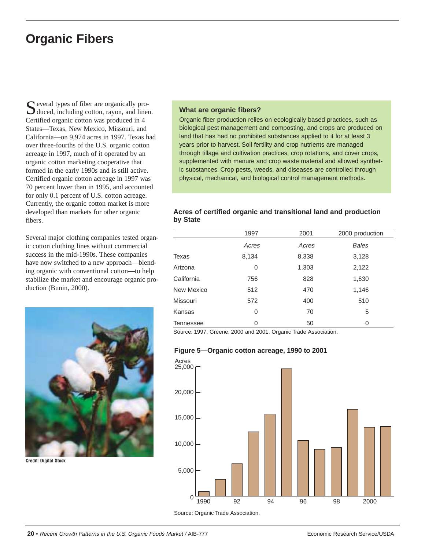# **Organic Fibers**

Several types of fiber are organically pro-<br>duced, including cotton, rayon, and linen. Certified organic cotton was produced in 4 States—Texas, New Mexico, Missouri, and California—on 9,974 acres in 1997. Texas had over three-fourths of the U.S. organic cotton acreage in 1997, much of it operated by an organic cotton marketing cooperative that formed in the early 1990s and is still active. Certified organic cotton acreage in 1997 was 70 percent lower than in 1995, and accounted for only 0.1 percent of U.S. cotton acreage. Currently, the organic cotton market is more developed than markets for other organic fibers.

Several major clothing companies tested organic cotton clothing lines without commercial success in the mid-1990s. These companies have now switched to a new approach—blending organic with conventional cotton—to help stabilize the market and encourage organic production (Bunin, 2000).



**Credit: Digital Stock**

#### **What are organic fibers?**

Organic fiber production relies on ecologically based practices, such as biological pest management and composting, and crops are produced on land that has had no prohibited substances applied to it for at least 3 years prior to harvest. Soil fertility and crop nutrients are managed through tillage and cultivation practices, crop rotations, and cover crops, supplemented with manure and crop waste material and allowed synthetic substances. Crop pests, weeds, and diseases are controlled through physical, mechanical, and biological control management methods.

#### **Acres of certified organic and transitional land and production by State**

|                  | 1997  | 2001  | 2000 production |
|------------------|-------|-------|-----------------|
|                  | Acres | Acres | <b>Bales</b>    |
| Texas            | 8,134 | 8,338 | 3,128           |
| Arizona          | 0     | 1,303 | 2,122           |
| California       | 756   | 828   | 1,630           |
| New Mexico       | 512   | 470   | 1,146           |
| Missouri         | 572   | 400   | 510             |
| Kansas           | 0     | 70    | 5               |
| <b>Tennessee</b> | 0     | 50    | 0               |

Source: 1997, Greene; 2000 and 2001, Organic Trade Association.

#### **Figure 5—Organic cotton acreage, 1990 to 2001**



Source: Organic Trade Association.